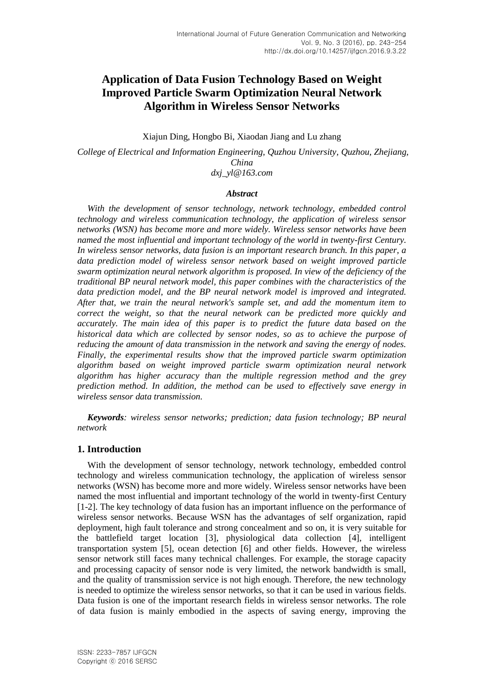# **Application of Data Fusion Technology Based on Weight Improved Particle Swarm Optimization Neural Network Algorithm in Wireless Sensor Networks**

Xiajun Ding, Hongbo Bi, Xiaodan Jiang and Lu zhang

*College of Electrical and Information Engineering, Quzhou University, Quzhou, Zhejiang, China dxj\_yl@163.com*

### *Abstract*

With the development of sensor technology, network technology, embedded control *technology and wireless communication technology, the application of wireless sensor networks (WSN) has become more and more widely. Wireless sensor networks have been named the most influential and important technology of the world in twenty-first Century. In wireless sensor networks, data fusion is an important research branch. In this paper, a data prediction model of wireless sensor network based on weight improved particle swarm optimization neural network algorithm is proposed. In view of the deficiency of the traditional BP neural network model, this paper combines with the characteristics of the data prediction model, and the BP neural network model is improved and integrated. After that, we train the neural network's sample set, and add the momentum item to correct the weight, so that the neural network can be predicted more quickly and accurately. The main idea of this paper is to predict the future data based on the historical data which are collected by sensor nodes, so as to achieve the purpose of reducing the amount of data transmission in the network and saving the energy of nodes. Finally, the experimental results show that the improved particle swarm optimization algorithm based on weight improved particle swarm optimization neural network algorithm has higher accuracy than the multiple regression method and the grey prediction method. In addition, the method can be used to effectively save energy in wireless sensor data transmission.*

*Keywords: wireless sensor networks; prediction; data fusion technology; BP neural network*

## **1. Introduction**

With the development of sensor technology, network technology, embedded control technology and wireless communication technology, the application of wireless sensor networks (WSN) has become more and more widely. Wireless sensor networks have been named the most influential and important technology of the world in twenty-first Century [1-2]. The key technology of data fusion has an important influence on the performance of wireless sensor networks. Because WSN has the advantages of self organization, rapid deployment, high fault tolerance and strong concealment and so on, it is very suitable for the battlefield target location [3], physiological data collection [4], intelligent transportation system [5], ocean detection [6] and other fields. However, the wireless sensor network still faces many technical challenges. For example, the storage capacity and processing capacity of sensor node is very limited, the network bandwidth is small, and the quality of transmission service is not high enough. Therefore, the new technology is needed to optimize the wireless sensor networks, so that it can be used in various fields. Data fusion is one of the important research fields in wireless sensor networks. The role of data fusion is mainly embodied in the aspects of saving energy, improving the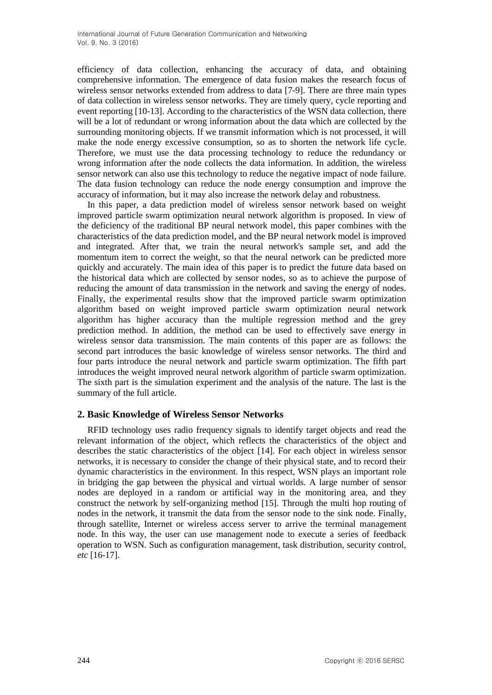efficiency of data collection, enhancing the accuracy of data, and obtaining comprehensive information. The emergence of data fusion makes the research focus of wireless sensor networks extended from address to data [7-9]. There are three main types of data collection in wireless sensor networks. They are timely query, cycle reporting and event reporting [10-13]. According to the characteristics of the WSN data collection, there will be a lot of redundant or wrong information about the data which are collected by the surrounding monitoring objects. If we transmit information which is not processed, it will make the node energy excessive consumption, so as to shorten the network life cycle. Therefore, we must use the data processing technology to reduce the redundancy or wrong information after the node collects the data information. In addition, the wireless sensor network can also use this technology to reduce the negative impact of node failure. The data fusion technology can reduce the node energy consumption and improve the accuracy of information, but it may also increase the network delay and robustness.

In this paper, a data prediction model of wireless sensor network based on weight improved particle swarm optimization neural network algorithm is proposed. In view of the deficiency of the traditional BP neural network model, this paper combines with the characteristics of the data prediction model, and the BP neural network model is improved and integrated. After that, we train the neural network's sample set, and add the momentum item to correct the weight, so that the neural network can be predicted more quickly and accurately. The main idea of this paper is to predict the future data based on the historical data which are collected by sensor nodes, so as to achieve the purpose of reducing the amount of data transmission in the network and saving the energy of nodes. Finally, the experimental results show that the improved particle swarm optimization algorithm based on weight improved particle swarm optimization neural network algorithm has higher accuracy than the multiple regression method and the grey prediction method. In addition, the method can be used to effectively save energy in wireless sensor data transmission. The main contents of this paper are as follows: the second part introduces the basic knowledge of wireless sensor networks. The third and four parts introduce the neural network and particle swarm optimization. The fifth part introduces the weight improved neural network algorithm of particle swarm optimization. The sixth part is the simulation experiment and the analysis of the nature. The last is the summary of the full article.

## **2. Basic Knowledge of Wireless Sensor Networks**

RFID technology uses radio frequency signals to identify target objects and read the relevant information of the object, which reflects the characteristics of the object and describes the static characteristics of the object [14]. For each object in wireless sensor networks, it is necessary to consider the change of their physical state, and to record their dynamic characteristics in the environment. In this respect, WSN plays an important role in bridging the gap between the physical and virtual worlds. A large number of sensor nodes are deployed in a random or artificial way in the monitoring area, and they construct the network by self-organizing method [15]. Through the multi hop routing of nodes in the network, it transmit the data from the sensor node to the sink node. Finally, through satellite, Internet or wireless access server to arrive the terminal management node. In this way, the user can use management node to execute a series of feedback operation to WSN. Such as configuration management, task distribution, security control, *etc* [16-17].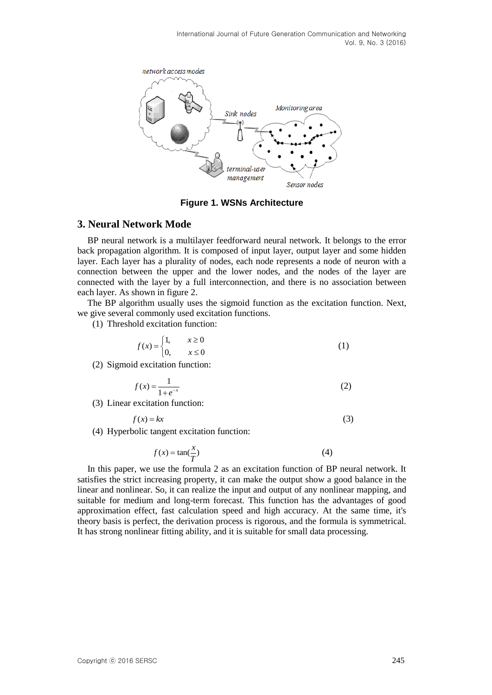

**Figure 1. WSNs Architecture**

## **3. Neural Network Mode**

BP neural network is a multilayer feedforward neural network. It belongs to the error back propagation algorithm. It is composed of input layer, output layer and some hidden layer. Each layer has a plurality of nodes, each node represents a node of neuron with a connection between the upper and the lower nodes, and the nodes of the layer are connected with the layer by a full interconnection, and there is no association between each layer. As shown in figure 2.

The BP algorithm usually uses the sigmoid function as the excitation function. Next, we give several commonly used excitation functions.

(1) Threshold excitation function:

$$
f(x) = \begin{cases} 1, & x \ge 0 \\ 0, & x \le 0 \end{cases} \tag{1}
$$

(2) Sigmoid excitation function:

$$
f(x) = \frac{1}{1 + e^{-x}}
$$
 (2)

(3) Linear excitation function:

$$
f(x) = kx \tag{3}
$$

(4) Hyperbolic tangent excitation function:

$$
f(x) = \tan(\frac{x}{T})
$$
 (4)

In this paper, we use the formula 2 as an excitation function of BP neural network. It satisfies the strict increasing property, it can make the output show a good balance in the linear and nonlinear. So, it can realize the input and output of any nonlinear mapping, and suitable for medium and long-term forecast. This function has the advantages of good approximation effect, fast calculation speed and high accuracy. At the same time, it's theory basis is perfect, the derivation process is rigorous, and the formula is symmetrical. It has strong nonlinear fitting ability, and it is suitable for small data processing.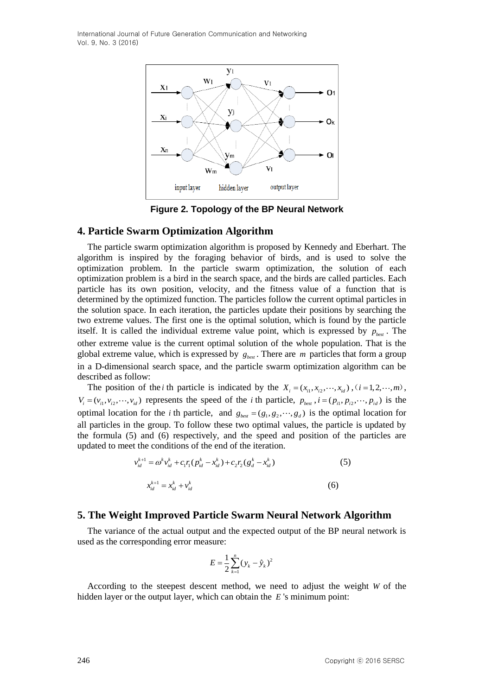

**Figure 2. Topology of the BP Neural Network**

## **4. Particle Swarm Optimization Algorithm**

The particle swarm optimization algorithm is proposed by Kennedy and Eberhart. The algorithm is inspired by the foraging behavior of birds, and is used to solve the optimization problem. In the particle swarm optimization, the solution of each optimization problem is a bird in the search space, and the birds are called particles. Each particle has its own position, velocity, and the fitness value of a function that is determined by the optimized function. The particles follow the current optimal particles in the solution space. In each iteration, the particles update their positions by searching the two extreme values. The first one is the optimal solution, which is found by the particle itself. It is called the individual extreme value point, which is expressed by  $p_{\text{best}}$ . The other extreme value is the current optimal solution of the whole population. That is the global extreme value, which is expressed by  $g_{\text{best}}$ . There are  $m$  particles that form a group in a D-dimensional search space, and the particle swarm optimization algorithm can be described as follow:

The position of the *i* th particle is indicated by the  $X_i = (x_{i1}, x_{i2}, \dots, x_{id})$ ,  $(i = 1, 2, \dots, m)$ ,  $V_i = (v_{i1}, v_{i2}, \dots, v_{id})$  represents the speed of the *i* th particle,  $p_{best}$ ,  $i = (p_{i1}, p_{i2}, \dots, p_{id})$  is the optimal location for the *i* th particle, and  $g_{\text{best}} = (g_1, g_2, \dots, g_d)$  is the optimal location for all particles in the group. To follow these two optimal values, the particle is updated by the formula (5) and (6) respectively, and the speed and position of the particles are updated to meet the conditions of the end of the iteration.

$$
v_{id}^{k+1} = \omega^k v_{id}^k + c_1 r_1 (p_{id}^k - x_{id}^k) + c_2 r_2 (g_d^k - x_{id}^k)
$$
\n
$$
x_{id}^{k+1} = x_{id}^k + v_{id}^k
$$
\n(5)

## **5. The Weight Improved Particle Swarm Neural Network Algorithm**

The variance of the actual output and the expected output of the BP neural network is used as the corresponding error measure:

$$
E = \frac{1}{2} \sum_{k=1}^{n} (y_k - \hat{y}_k)^2
$$

According to the steepest descent method, we need to adjust the weight *W* of the hidden layer or the output layer, which can obtain the *E* 's minimum point: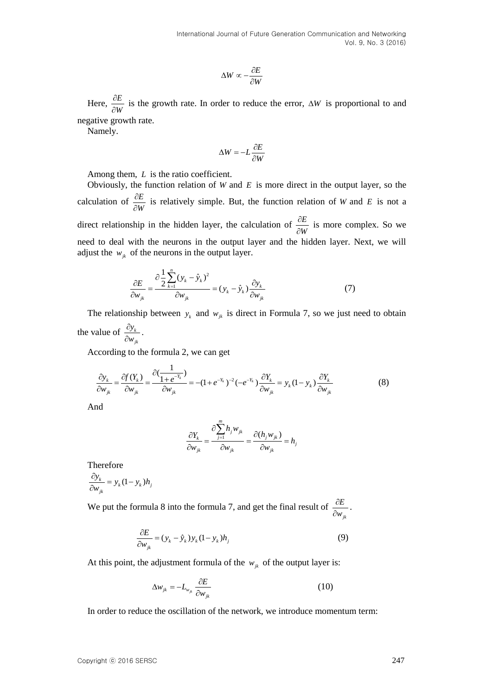$$
\Delta W \propto -\frac{\partial E}{\partial W}
$$

Here,  $\frac{\partial E}{\partial x}$ *W*  $\partial$  $\frac{\partial E}{\partial W}$  is the growth rate. In order to reduce the error,  $\Delta W$  is proportional to and

negative growth rate.

Namely.

$$
\Delta W = -L \frac{\partial E}{\partial W}
$$

Among them, L is the ratio coefficient.

Aw  $\propto \frac{\partial E}{\partial y}$  is the growth rate. In order to reduce the error,  $\Delta W$  is proportional to an<br>equative growth rate.<br>Namog them, *L* is the ratio coefficient.<br>Namog them, *L* is the ratio coefficient.<br>Namog them, *L* is Obviously, the function relation of  $W$  and  $E$  is more direct in the output layer, so the calculation of  $\frac{\partial E}{\partial x}$ *W*  $\partial$  $\frac{\partial E}{\partial W}$  is relatively simple. But, the function relation of *W* and *E* is not a direct relationship in the hidden layer, the calculation of  $\frac{\partial E}{\partial x}$ *W*  $\hat{o}$  $\frac{\partial E}{\partial W}$  is more complex. So we need to deal with the neurons in the output layer and the hidden layer. Next, we will adjust the  $w_{jk}$  of the neurons in the output layer.

$$
\frac{\partial E}{\partial w_{jk}} = \frac{\partial \frac{1}{2} \sum_{k=1}^{n} (y_k - \hat{y}_k)^2}{\partial w_{jk}} = (y_k - \hat{y}_k) \frac{\partial y_k}{\partial w_{jk}}
$$
(7)

The relationship between  $y_k$  and  $w_{jk}$  is direct in Formula 7, so we just need to obtain the value of  $\frac{dy_k}{dx}$ *y w*  $\partial$  $\frac{\partial y_k}{\partial w_{ik}}$ .

*jk*

According to the formula 2, we can get  
\n
$$
\frac{\partial y_k}{\partial w_{jk}} = \frac{\partial f(Y_k)}{\partial w_{jk}} = \frac{\partial \left(\frac{1}{1 + e^{-Y_k}}\right)}{\partial w_{jk}} = -(1 + e^{-Y_k})^{-2}(-e^{-Y_k})\frac{\partial Y_k}{\partial w_{jk}} = y_k(1 - y_k)\frac{\partial Y_k}{\partial w_{jk}}
$$
\n(8)

And

$$
\frac{\partial Y_k}{\partial w_{jk}} = \frac{\partial \sum_{j=1}^m h_j w_{jk}}{\partial w_{jk}} = \frac{\partial (h_j w_{jk})}{\partial w_{jk}} = h_j
$$

Therefore  $\frac{k}{jk} = y_k (1 - y_k) h_j$  $\frac{\partial y_k}{\partial w_{ik}} = y_k (1 - y_k) h$  $\frac{\partial y_k}{\partial w_{ik}} = y_k (1 - y_k)$ 

We put the formula 8 into the formula 7, and get the final result of *jk E w*  $\hat{o}$  $\frac{U}{\partial W_{ik}}$ .

$$
\frac{\partial E}{\partial w_{jk}} = (y_k - \hat{y}_k) y_k (1 - y_k) h_j
$$
\n(9)

At this point, the adjustment formula of the  $w_{jk}$  of the output layer is:

$$
\Delta w_{jk} = -L_{w_{jk}} \frac{\partial E}{\partial w_{jk}}
$$
 (10)

In order to reduce the oscillation of the network, we introduce momentum term: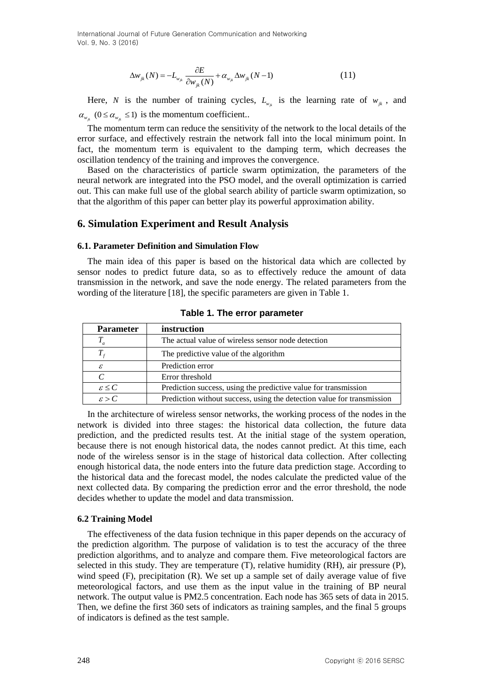$$
\Delta w_{jk}(N) = -L_{w_{jk}} \frac{\partial E}{\partial w_{jk}(N)} + \alpha_{w_{jk}} \Delta w_{jk}(N-1)
$$
 (11)

Here, *N* is the number of training cycles,  $L_{w_{jk}}$  is the learning rate of  $w_{jk}$ , and  $\alpha_{w_{jk}}$  ( $0 \le \alpha_{w_{jk}} \le 1$ ) is the momentum coefficient..

The momentum term can reduce the sensitivity of the network to the local details of the error surface, and effectively restrain the network fall into the local minimum point. In fact, the momentum term is equivalent to the damping term, which decreases the oscillation tendency of the training and improves the convergence.

Based on the characteristics of particle swarm optimization, the parameters of the neural network are integrated into the PSO model, and the overall optimization is carried out. This can make full use of the global search ability of particle swarm optimization, so that the algorithm of this paper can better play its powerful approximation ability.

### **6. Simulation Experiment and Result Analysis**

#### **6.1. Parameter Definition and Simulation Flow**

The main idea of this paper is based on the historical data which are collected by sensor nodes to predict future data, so as to effectively reduce the amount of data transmission in the network, and save the node energy. The related parameters from the wording of the literature [18], the specific parameters are given in Table 1.

| <b>Parameter</b>     | instruction                                                            |
|----------------------|------------------------------------------------------------------------|
|                      | The actual value of wireless sensor node detection                     |
| $T_{\star}$          | The predictive value of the algorithm                                  |
| ε                    | Prediction error                                                       |
| C                    | Error threshold                                                        |
| $\varepsilon \leq C$ | Prediction success, using the predictive value for transmission        |
| $\varepsilon > C$    | Prediction without success, using the detection value for transmission |

**Table 1. The error parameter**

 $\Delta w_2(N) - L_c \frac{\partial E}{\partial x_1(N)} - \sigma_{x_2} \Delta w_1(N-1)$ <br>
Here, *N* is the number of training cycles,  $r_{x_2}$  is the learning rate of  $w_{x_1}$ , and<br>  $Z_1$  (0.5 a, 21) is the numerature moreofficients.<br>
The momentum term can reduce the In the architecture of wireless sensor networks, the working process of the nodes in the network is divided into three stages: the historical data collection, the future data prediction, and the predicted results test. At the initial stage of the system operation, because there is not enough historical data, the nodes cannot predict. At this time, each node of the wireless sensor is in the stage of historical data collection. After collecting enough historical data, the node enters into the future data prediction stage. According to the historical data and the forecast model, the nodes calculate the predicted value of the next collected data. By comparing the prediction error and the error threshold, the node decides whether to update the model and data transmission.

#### **6.2 Training Model**

The effectiveness of the data fusion technique in this paper depends on the accuracy of the prediction algorithm. The purpose of validation is to test the accuracy of the three prediction algorithms, and to analyze and compare them. Five meteorological factors are selected in this study. They are temperature (T), relative humidity (RH), air pressure (P), wind speed (F), precipitation (R). We set up a sample set of daily average value of five meteorological factors, and use them as the input value in the training of BP neural network. The output value is PM2.5 concentration. Each node has 365 sets of data in 2015. Then, we define the first 360 sets of indicators as training samples, and the final 5 groups of indicators is defined as the test sample.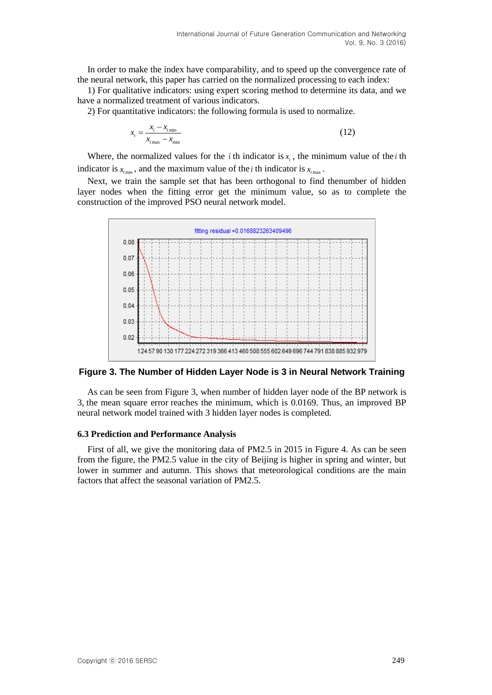In order to make the index have comparability, and to speed up the convergence rate of the neural network, this paper has carried on the normalized processing to each index:

1) For qualitative indicators: using expert scoring method to determine its data, and we have a normalized treatment of various indicators.

2) For quantitative indicators: the following formula is used to normalize.

$$
x_i = \frac{x_i - x_{i_{\text{min}}}}{x_{i_{\text{max}}} - x_{\text{min}}}
$$
\n(12)

Where, the normalized values for the *i* th indicator is  $x_i$ , the minimum value of the *i* th indicator is  $x_{i_{\text{min}}}$ , and the maximum value of the *i* th indicator is  $x_{i_{\text{max}}}$ .

Next, we train the sample set that has been orthogonal to find thenumber of hidden layer nodes when the fitting error get the minimum value, so as to complete the construction of the improved PSO neural network model.



#### **Figure 3. The Number of Hidden Layer Node is 3 in Neural Network Training**

As can be seen from Figure 3, when number of hidden layer node of the BP network is 3, the mean square error reaches the minimum, which is 0.0169. Thus, an improved BP neural network model trained with 3 hidden layer nodes is completed.

#### **6.3 Prediction and Performance Analysis**

First of all, we give the monitoring data of PM2.5 in 2015 in Figure 4. As can be seen from the figure, the PM2.5 value in the city of Beijing is higher in spring and winter, but lower in summer and autumn. This shows that meteorological conditions are the main factors that affect the seasonal variation of PM2.5.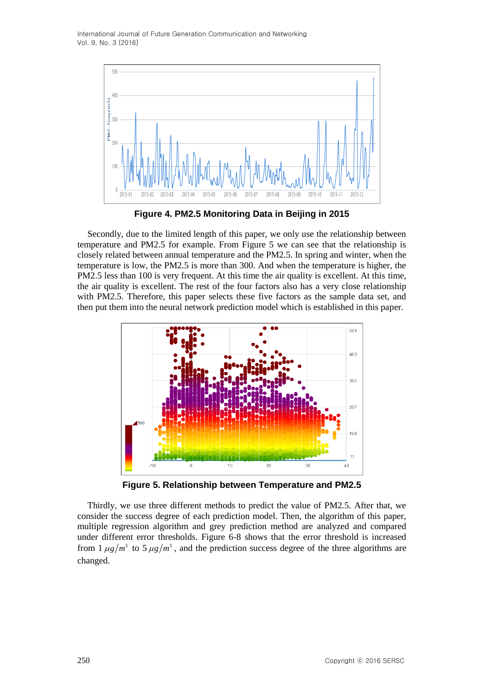

**Figure 4. PM2.5 Monitoring Data in Beijing in 2015**

Secondly, due to the limited length of this paper, we only use the relationship between temperature and PM2.5 for example. From Figure 5 we can see that the relationship is closely related between annual temperature and the PM2.5. In spring and winter, when the temperature is low, the PM2.5 is more than 300. And when the temperature is higher, the PM2.5 less than 100 is very frequent. At this time the air quality is excellent. At this time, the air quality is excellent. The rest of the four factors also has a very close relationship with PM2.5. Therefore, this paper selects these five factors as the sample data set, and then put them into the neural network prediction model which is established in this paper.



**Figure 5. Relationship between Temperature and PM2.5**

Thirdly, we use three different methods to predict the value of PM2.5. After that, we consider the success degree of each prediction model. Then, the algorithm of this paper, multiple regression algorithm and grey prediction method are analyzed and compared under different error thresholds. Figure 6-8 shows that the error threshold is increased from  $1 \mu g/m^3$  to  $5 \mu g/m^3$ , and the prediction success degree of the three algorithms are changed.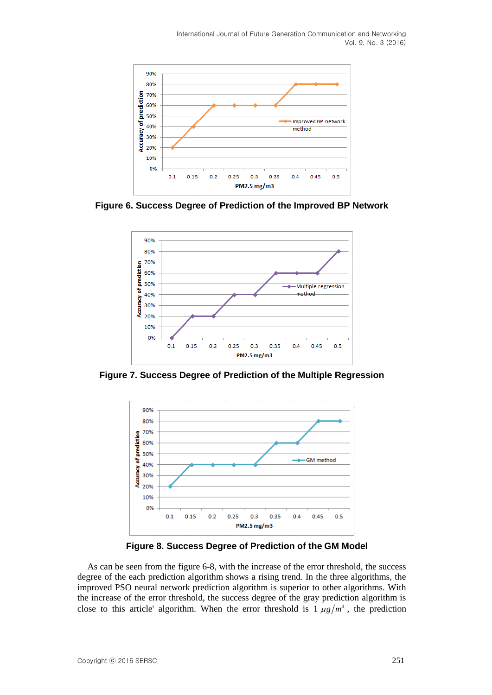

**Figure 6. Success Degree of Prediction of the Improved BP Network**



**Figure 7. Success Degree of Prediction of the Multiple Regression**



**Figure 8. Success Degree of Prediction of the GM Model**

As can be seen from the figure 6-8, with the increase of the error threshold, the success degree of the each prediction algorithm shows a rising trend. In the three algorithms, the improved PSO neural network prediction algorithm is superior to other algorithms. With the increase of the error threshold, the success degree of the gray prediction algorithm is close to this article' algorithm. When the error threshold is  $1 \mu g/m^3$ , the prediction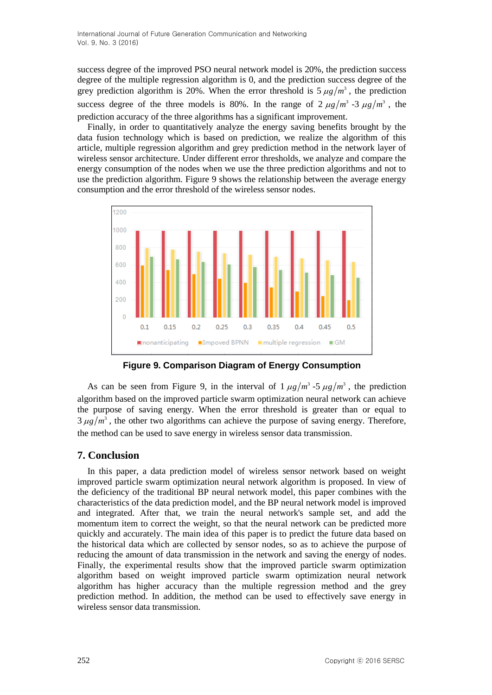success degree of the improved PSO neural network model is 20%, the prediction success degree of the multiple regression algorithm is 0, and the prediction success degree of the grey prediction algorithm is 20%. When the error threshold is  $5 \mu g/m^3$ , the prediction success degree of the three models is 80%. In the range of  $2 \mu g/m^3$  -3  $\mu g/m^3$ , the prediction accuracy of the three algorithms has a significant improvement.

Finally, in order to quantitatively analyze the energy saving benefits brought by the data fusion technology which is based on prediction, we realize the algorithm of this article, multiple regression algorithm and grey prediction method in the network layer of wireless sensor architecture. Under different error thresholds, we analyze and compare the energy consumption of the nodes when we use the three prediction algorithms and not to use the prediction algorithm. Figure 9 shows the relationship between the average energy consumption and the error threshold of the wireless sensor nodes.





As can be seen from Figure 9, in the interval of  $1 \mu g/m^3 - 5 \mu g/m^3$ , the prediction algorithm based on the improved particle swarm optimization neural network can achieve the purpose of saving energy. When the error threshold is greater than or equal to  $3 \mu g/m<sup>3</sup>$ , the other two algorithms can achieve the purpose of saving energy. Therefore, the method can be used to save energy in wireless sensor data transmission.

## **7. Conclusion**

In this paper, a data prediction model of wireless sensor network based on weight improved particle swarm optimization neural network algorithm is proposed. In view of the deficiency of the traditional BP neural network model, this paper combines with the characteristics of the data prediction model, and the BP neural network model is improved and integrated. After that, we train the neural network's sample set, and add the momentum item to correct the weight, so that the neural network can be predicted more quickly and accurately. The main idea of this paper is to predict the future data based on the historical data which are collected by sensor nodes, so as to achieve the purpose of reducing the amount of data transmission in the network and saving the energy of nodes. Finally, the experimental results show that the improved particle swarm optimization algorithm based on weight improved particle swarm optimization neural network algorithm has higher accuracy than the multiple regression method and the grey prediction method. In addition, the method can be used to effectively save energy in wireless sensor data transmission.